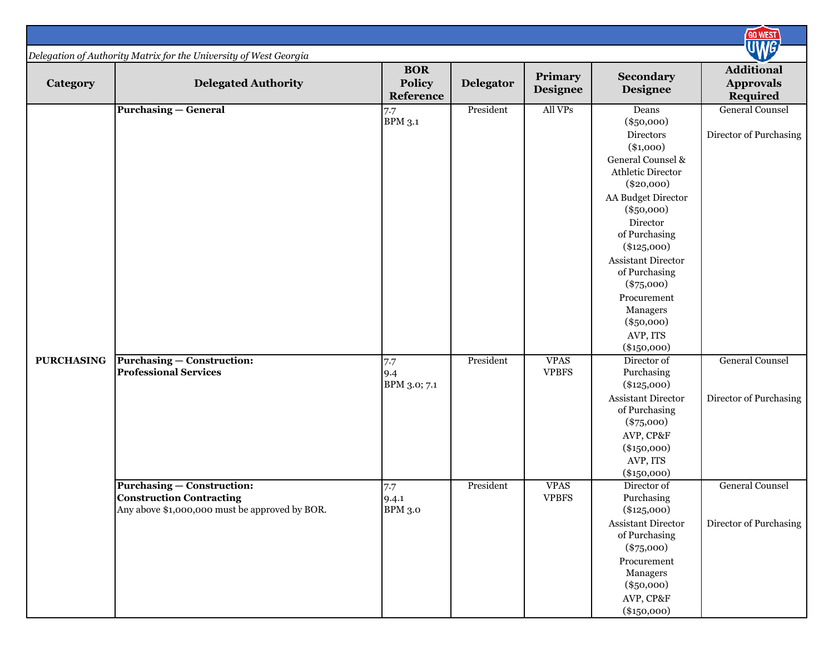|                   |                                                                                                                        |                                          |                  |                             |                                                                                                                                                                                                                                                                                                                            | <b>GO WEST</b>                                    |
|-------------------|------------------------------------------------------------------------------------------------------------------------|------------------------------------------|------------------|-----------------------------|----------------------------------------------------------------------------------------------------------------------------------------------------------------------------------------------------------------------------------------------------------------------------------------------------------------------------|---------------------------------------------------|
|                   | Delegation of Authority Matrix for the University of West Georgia                                                      |                                          |                  |                             |                                                                                                                                                                                                                                                                                                                            | <b>WG</b>                                         |
| Category          | <b>Delegated Authority</b>                                                                                             | <b>BOR</b><br><b>Policy</b><br>Reference | <b>Delegator</b> | Primary<br><b>Designee</b>  | Secondary<br><b>Designee</b>                                                                                                                                                                                                                                                                                               | <b>Additional</b><br><b>Approvals</b><br>Required |
|                   | <b>Purchasing – General</b>                                                                                            | 7.7<br><b>BPM 3.1</b>                    | President        | All VPs                     | Deans<br>$(\$50,000)$<br>Directors<br>$(*1,000)$<br>General Counsel &<br>Athletic Director<br>$(\$20,000)$<br>AA Budget Director<br>$(\$50,000)$<br>Director<br>of Purchasing<br>$(*125,000)$<br>Assistant Director<br>of Purchasing<br>$(*75,000)$<br>Procurement<br>Managers<br>$(\$50,000)$<br>AVP, ITS<br>$(*150,000)$ | <b>General Counsel</b><br>Director of Purchasing  |
| <b>PURCHASING</b> | <b>Purchasing – Construction:</b><br><b>Professional Services</b>                                                      | 7.7<br>9.4<br>BPM 3.0; 7.1               | President        | <b>VPAS</b><br><b>VPBFS</b> | Director of<br>Purchasing<br>$(*125,000)$<br><b>Assistant Director</b><br>of Purchasing<br>$(*75,000)$<br>AVP, CP&F<br>$(*150,000)$<br>AVP, ITS<br>$(\$150,000)$                                                                                                                                                           | <b>General Counsel</b><br>Director of Purchasing  |
|                   | <b>Purchasing – Construction:</b><br><b>Construction Contracting</b><br>Any above \$1,000,000 must be approved by BOR. | 7.7<br>9.4.1<br><b>BPM 3.0</b>           | President        | <b>VPAS</b><br><b>VPBFS</b> | Director of<br>Purchasing<br>$(*125,000)$<br>Assistant Director<br>of Purchasing<br>$(*75,000)$<br>Procurement<br>Managers<br>$(\$50,000)$<br>AVP, CP&F<br>$(\$150,000)$                                                                                                                                                   | <b>General Counsel</b><br>Director of Purchasing  |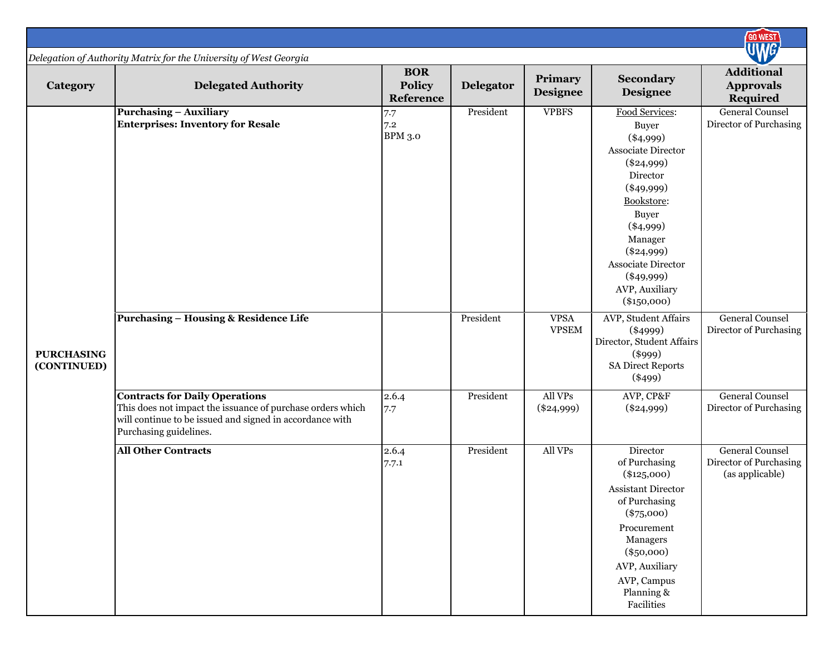|                                  |                                                                                                                                                                                           |                                          |                  |                             |                                                                                                                                                                                                                                                                | <b>GO WEST</b>                                                      |
|----------------------------------|-------------------------------------------------------------------------------------------------------------------------------------------------------------------------------------------|------------------------------------------|------------------|-----------------------------|----------------------------------------------------------------------------------------------------------------------------------------------------------------------------------------------------------------------------------------------------------------|---------------------------------------------------------------------|
|                                  | Delegation of Authority Matrix for the University of West Georgia                                                                                                                         |                                          |                  |                             |                                                                                                                                                                                                                                                                | <b>JWG</b>                                                          |
| Category                         | <b>Delegated Authority</b>                                                                                                                                                                | <b>BOR</b><br><b>Policy</b><br>Reference | <b>Delegator</b> | Primary<br><b>Designee</b>  | Secondary<br><b>Designee</b>                                                                                                                                                                                                                                   | <b>Additional</b><br><b>Approvals</b><br><b>Required</b>            |
|                                  | <b>Purchasing - Auxiliary</b><br><b>Enterprises: Inventory for Resale</b>                                                                                                                 | 7.7<br>7.2<br><b>BPM 3.0</b>             | President        | <b>VPBFS</b>                | Food Services:<br><b>Buyer</b><br>$(*4,999)$<br>Associate Director<br>$(\$24,999)$<br>Director<br>$(\$49,999)$<br>Bookstore:<br><b>Buyer</b><br>$(*4,999)$<br>Manager<br>$(\$24,999)$<br>Associate Director<br>$(\$49,999)$<br>AVP, Auxiliary<br>$(\$150,000)$ | <b>General Counsel</b><br>Director of Purchasing                    |
| <b>PURCHASING</b><br>(CONTINUED) | <b>Purchasing - Housing &amp; Residence Life</b>                                                                                                                                          |                                          | President        | <b>VPSA</b><br><b>VPSEM</b> | AVP, Student Affairs<br>$(*4999)$<br>Director, Student Affairs<br>$(\$999)$<br><b>SA Direct Reports</b><br>$(*499)$                                                                                                                                            | <b>General Counsel</b><br>Director of Purchasing                    |
|                                  | <b>Contracts for Daily Operations</b><br>This does not impact the issuance of purchase orders which<br>will continue to be issued and signed in accordance with<br>Purchasing guidelines. | 2.6.4<br>7.7                             | President        | All VPs<br>$(\$24,999)$     | AVP, CP&F<br>$(\$24,999)$                                                                                                                                                                                                                                      | <b>General Counsel</b><br>Director of Purchasing                    |
|                                  | <b>All Other Contracts</b>                                                                                                                                                                | 2.6.4<br>7.7.1                           | President        | All VPs                     | Director<br>of Purchasing<br>$(*125,000)$<br>Assistant Director<br>of Purchasing<br>$(*75,000)$<br>Procurement<br>Managers<br>$(\$50,000)$<br>AVP, Auxiliary<br>AVP, Campus<br>Planning &<br>Facilities                                                        | <b>General Counsel</b><br>Director of Purchasing<br>(as applicable) |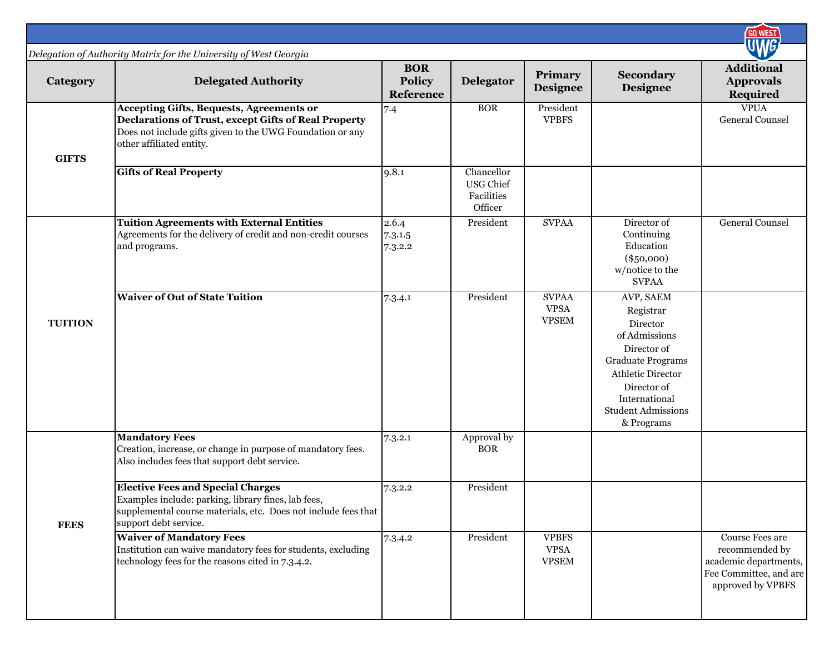|                |                                                                                                                                                                                                  |                                                 |                                                         |                                             |                                                                                                                                                                                                | <b>GO WEST</b>                                                                                            |
|----------------|--------------------------------------------------------------------------------------------------------------------------------------------------------------------------------------------------|-------------------------------------------------|---------------------------------------------------------|---------------------------------------------|------------------------------------------------------------------------------------------------------------------------------------------------------------------------------------------------|-----------------------------------------------------------------------------------------------------------|
| Category       | Delegation of Authority Matrix for the University of West Georgia<br><b>Delegated Authority</b>                                                                                                  | <b>BOR</b><br><b>Policy</b><br><b>Reference</b> | Delegator                                               | Primary<br><b>Designee</b>                  | <b>Secondary</b><br><b>Designee</b>                                                                                                                                                            | <b>Additional</b><br><b>Approvals</b><br>Required                                                         |
| <b>GIFTS</b>   | <b>Accepting Gifts, Bequests, Agreements or</b><br>Declarations of Trust, except Gifts of Real Property<br>Does not include gifts given to the UWG Foundation or any<br>other affiliated entity. | 7.4                                             | <b>BOR</b>                                              | President<br><b>VPBFS</b>                   |                                                                                                                                                                                                | <b>VPUA</b><br><b>General Counsel</b>                                                                     |
|                | <b>Gifts of Real Property</b>                                                                                                                                                                    | 9.8.1                                           | Chancellor<br><b>USG Chief</b><br>Facilities<br>Officer |                                             |                                                                                                                                                                                                |                                                                                                           |
|                | <b>Tuition Agreements with External Entities</b><br>Agreements for the delivery of credit and non-credit courses<br>and programs.                                                                | 2.6.4<br>7.3.1.5<br>7.3.2.2                     | President                                               | <b>SVPAA</b>                                | Director of<br>Continuing<br>Education<br>$(\$50,000)$<br>w/notice to the<br><b>SVPAA</b>                                                                                                      | General Counsel                                                                                           |
| <b>TUITION</b> | <b>Waiver of Out of State Tuition</b>                                                                                                                                                            | 7.3.4.1                                         | President                                               | <b>SVPAA</b><br><b>VPSA</b><br><b>VPSEM</b> | AVP, SAEM<br>Registrar<br>Director<br>of Admissions<br>Director of<br><b>Graduate Programs</b><br>Athletic Director<br>Director of<br>International<br><b>Student Admissions</b><br>& Programs |                                                                                                           |
|                | <b>Mandatory Fees</b><br>Creation, increase, or change in purpose of mandatory fees.<br>Also includes fees that support debt service.                                                            | 7.3.2.1                                         | Approval by<br><b>BOR</b>                               |                                             |                                                                                                                                                                                                |                                                                                                           |
| <b>FEES</b>    | <b>Elective Fees and Special Charges</b><br>Examples include: parking, library fines, lab fees,<br>supplemental course materials, etc. Does not include fees that<br>support debt service.       | 7.3.2.2                                         | President                                               |                                             |                                                                                                                                                                                                |                                                                                                           |
|                | <b>Waiver of Mandatory Fees</b><br>Institution can waive mandatory fees for students, excluding<br>technology fees for the reasons cited in 7.3.4.2.                                             | 7.3.4.2                                         | President                                               | <b>VPBFS</b><br><b>VPSA</b><br><b>VPSEM</b> |                                                                                                                                                                                                | Course Fees are<br>recommended by<br>academic departments,<br>Fee Committee, and are<br>approved by VPBFS |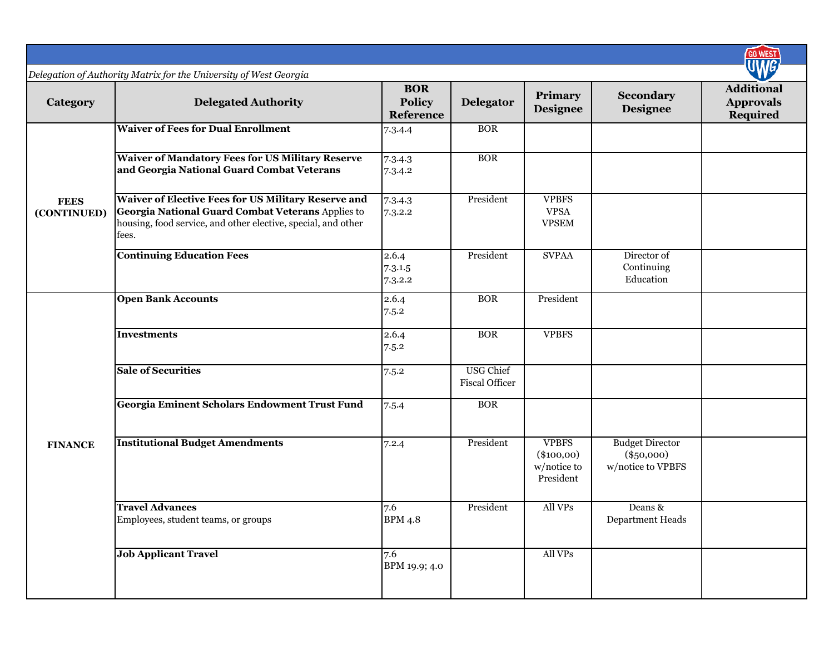|                            |                                                                                                                                                                                    |                                                 |                                           |                                                          |                                                             | <b>GO WEST</b>                                           |
|----------------------------|------------------------------------------------------------------------------------------------------------------------------------------------------------------------------------|-------------------------------------------------|-------------------------------------------|----------------------------------------------------------|-------------------------------------------------------------|----------------------------------------------------------|
|                            | Delegation of Authority Matrix for the University of West Georgia                                                                                                                  |                                                 |                                           |                                                          |                                                             |                                                          |
| Category                   | <b>Delegated Authority</b>                                                                                                                                                         | <b>BOR</b><br><b>Policy</b><br><b>Reference</b> | Delegator                                 | Primary<br><b>Designee</b>                               | Secondary<br>Designee                                       | <b>Additional</b><br><b>Approvals</b><br><b>Required</b> |
|                            | <b>Waiver of Fees for Dual Enrollment</b>                                                                                                                                          | 7.3.4.4                                         | <b>BOR</b>                                |                                                          |                                                             |                                                          |
| <b>FEES</b><br>(CONTINUED) | <b>Waiver of Mandatory Fees for US Military Reserve</b><br>and Georgia National Guard Combat Veterans                                                                              | 7.3.4.3<br>7.3.4.2                              | <b>BOR</b>                                |                                                          |                                                             |                                                          |
|                            | Waiver of Elective Fees for US Military Reserve and<br>Georgia National Guard Combat Veterans Applies to<br>housing, food service, and other elective, special, and other<br>fees. | 7.3.4.3<br>7.3.2.2                              | President                                 | <b>VPBFS</b><br><b>VPSA</b><br><b>VPSEM</b>              |                                                             |                                                          |
|                            | <b>Continuing Education Fees</b>                                                                                                                                                   | 2.6.4<br>7.3.1.5<br>7.3.2.2                     | President                                 | <b>SVPAA</b>                                             | Director of<br>Continuing<br>Education                      |                                                          |
| <b>FINANCE</b>             | <b>Open Bank Accounts</b>                                                                                                                                                          | 2.6.4<br>7.5.2                                  | <b>BOR</b>                                | President                                                |                                                             |                                                          |
|                            | <b>Investments</b>                                                                                                                                                                 | 2.6.4<br>7.5.2                                  | <b>BOR</b>                                | <b>VPBFS</b>                                             |                                                             |                                                          |
|                            | <b>Sale of Securities</b>                                                                                                                                                          | 7.5.2                                           | <b>USG Chief</b><br><b>Fiscal Officer</b> |                                                          |                                                             |                                                          |
|                            | Georgia Eminent Scholars Endowment Trust Fund                                                                                                                                      | 7.5.4                                           | <b>BOR</b>                                |                                                          |                                                             |                                                          |
|                            | <b>Institutional Budget Amendments</b>                                                                                                                                             | 7.2.4                                           | President                                 | <b>VPBFS</b><br>$(\$100,00)$<br>w/notice to<br>President | <b>Budget Director</b><br>$(\$50,000)$<br>w/notice to VPBFS |                                                          |
|                            | <b>Travel Advances</b><br>Employees, student teams, or groups                                                                                                                      | 7.6<br>BPM 4.8                                  | President                                 | All VPs                                                  | Deans &<br>Department Heads                                 |                                                          |
|                            | <b>Job Applicant Travel</b>                                                                                                                                                        | 7.6<br>BPM 19.9; 4.0                            |                                           | All VPs                                                  |                                                             |                                                          |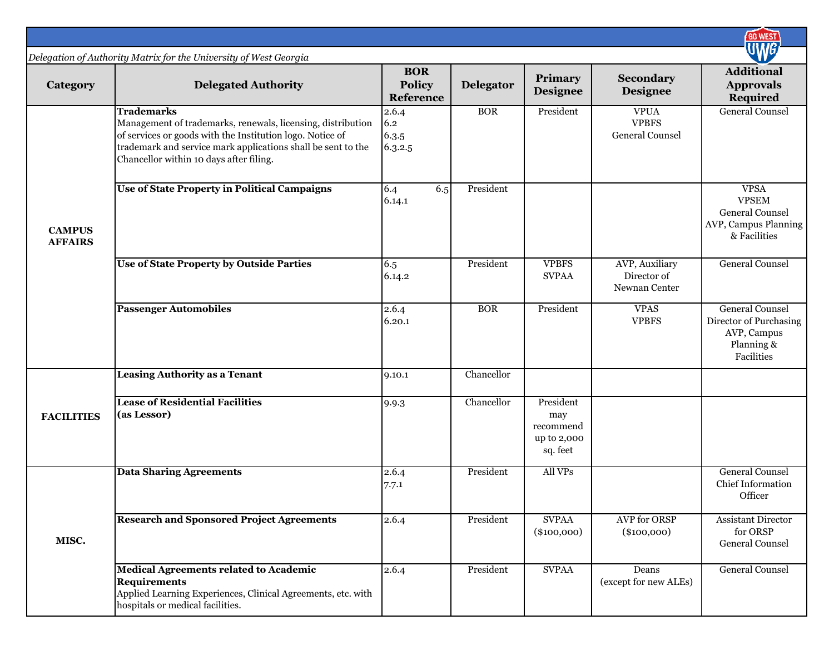|                                 |                                                                                                                                                                                                                                                          |                                          |            |                                                          |                                                       | <b>GO WEST</b>                                                                              |
|---------------------------------|----------------------------------------------------------------------------------------------------------------------------------------------------------------------------------------------------------------------------------------------------------|------------------------------------------|------------|----------------------------------------------------------|-------------------------------------------------------|---------------------------------------------------------------------------------------------|
|                                 | Delegation of Authority Matrix for the University of West Georgia                                                                                                                                                                                        |                                          |            |                                                          |                                                       |                                                                                             |
| Category                        | <b>Delegated Authority</b>                                                                                                                                                                                                                               | <b>BOR</b><br><b>Policy</b><br>Reference | Delegator  | Primary<br><b>Designee</b>                               | Secondary<br>Designee                                 | <b>Additional</b><br><b>Approvals</b><br>Required                                           |
|                                 | <b>Trademarks</b><br>Management of trademarks, renewals, licensing, distribution<br>of services or goods with the Institution logo. Notice of<br>trademark and service mark applications shall be sent to the<br>Chancellor within 10 days after filing. | 2.6.4<br>6.2<br>6.3.5<br>6.3.2.5         | <b>BOR</b> | President                                                | <b>VPUA</b><br><b>VPBFS</b><br><b>General Counsel</b> | <b>General Counsel</b>                                                                      |
| <b>CAMPUS</b><br><b>AFFAIRS</b> | Use of State Property in Political Campaigns                                                                                                                                                                                                             | 6.4<br>6.5<br>6.14.1                     | President  |                                                          |                                                       | <b>VPSA</b><br><b>VPSEM</b><br>General Counsel<br>AVP, Campus Planning<br>& Facilities      |
|                                 | <b>Use of State Property by Outside Parties</b>                                                                                                                                                                                                          | 6.5<br>6.14.2                            | President  | <b>VPBFS</b><br><b>SVPAA</b>                             | AVP, Auxiliary<br>Director of<br>Newnan Center        | <b>General Counsel</b>                                                                      |
|                                 | <b>Passenger Automobiles</b>                                                                                                                                                                                                                             | 2.6.4<br>6.20.1                          | <b>BOR</b> | President                                                | <b>VPAS</b><br><b>VPBFS</b>                           | <b>General Counsel</b><br>Director of Purchasing<br>AVP, Campus<br>Planning &<br>Facilities |
|                                 | <b>Leasing Authority as a Tenant</b>                                                                                                                                                                                                                     | 9.10.1                                   | Chancellor |                                                          |                                                       |                                                                                             |
| <b>FACILITIES</b>               | <b>Lease of Residential Facilities</b><br>(as Lessor)                                                                                                                                                                                                    | 9.9.3                                    | Chancellor | President<br>may<br>recommend<br>up to 2,000<br>sq. feet |                                                       |                                                                                             |
|                                 | <b>Data Sharing Agreements</b>                                                                                                                                                                                                                           | 2.6.4<br>7.7.1                           | President  | All VPs                                                  |                                                       | <b>General Counsel</b><br><b>Chief Information</b><br>Officer                               |
| MISC.                           | <b>Research and Sponsored Project Agreements</b>                                                                                                                                                                                                         | 2.6.4                                    | President  | <b>SVPAA</b><br>$(\$100,000)$                            | <b>AVP</b> for ORSP<br>$(\$100,000)$                  | <b>Assistant Director</b><br>for ORSP<br>General Counsel                                    |
|                                 | <b>Medical Agreements related to Academic</b><br><b>Requirements</b><br>Applied Learning Experiences, Clinical Agreements, etc. with<br>hospitals or medical facilities.                                                                                 | 2.6.4                                    | President  | <b>SVPAA</b>                                             | Deans<br>(except for new ALEs)                        | <b>General Counsel</b>                                                                      |